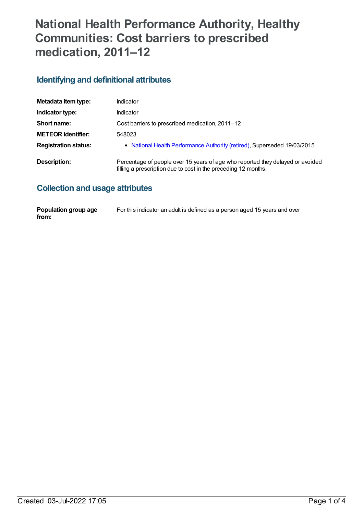# **National Health Performance Authority, Healthy Communities: Cost barriers to prescribed medication, 2011–12**

## **Identifying and definitional attributes**

| Metadata item type:         | Indicator                                                                                                                                        |
|-----------------------------|--------------------------------------------------------------------------------------------------------------------------------------------------|
| Indicator type:             | Indicator                                                                                                                                        |
| Short name:                 | Cost barriers to prescribed medication, 2011-12                                                                                                  |
| <b>METEOR identifier:</b>   | 548023                                                                                                                                           |
| <b>Registration status:</b> | • National Health Performance Authority (retired), Superseded 19/03/2015                                                                         |
| Description:                | Percentage of people over 15 years of age who reported they delayed or avoided<br>filling a prescription due to cost in the preceding 12 months. |

### **Collection and usage attributes**

| Population group age | For this indicator an adult is defined as a person aged 15 years and over |
|----------------------|---------------------------------------------------------------------------|
| from:                |                                                                           |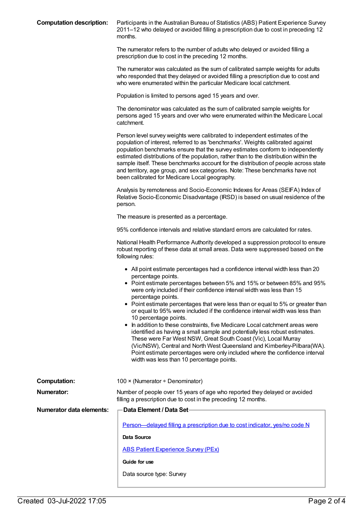**Computation description:** Participants in the Australian Bureau of Statistics (ABS) Patient Experience Survey 2011–12 who delayed or avoided filling a prescription due to cost in preceding 12 months.

> The numerator refers to the number of adults who delayed or avoided filling a prescription due to cost in the preceding 12 months.

The numerator was calculated as the sum of calibrated sample weights for adults who responded that they delayed or avoided filling a prescription due to cost and who were enumerated within the particular Medicare local catchment.

Population is limited to persons aged 15 years and over.

The denominator was calculated as the sum of calibrated sample weights for persons aged 15 years and over who were enumerated within the Medicare Local catchment.

Person level survey weights were calibrated to independent estimates of the population of interest, referred to as 'benchmarks'. Weights calibrated against population benchmarks ensure that the survey estimates conform to independently estimated distributions of the population, rather than to the distribution within the sample itself. These benchmarks account for the distribution of people across state and territory, age group, and sex categories. Note: These benchmarks have not been calibrated for Medicare Local geography.

Analysis by remoteness and Socio-Economic Indexes for Areas (SEIFA) Index of Relative Socio-Economic Disadvantage (IRSD) is based on usual residence of the person.

The measure is presented as a percentage.

95% confidence intervals and relative standard errors are calculated for rates.

National Health Performance Authority developed a suppression protocol to ensure robust reporting of these data at small areas. Data were suppressed based on the following rules:

- All point estimate percentages had a confidence interval width less than 20 percentage points.
- Point estimate percentages between 5% and 15% or between 85% and 95% were only included if their confidence interval width was less than 15 percentage points.
- Point estimate percentages that were less than or equal to 5% or greater than or equal to 95% were included if the confidence interval width was less than 10 percentage points.
- In addition to these constraints, five Medicare Local catchment areas were identified as having a small sample and potentially less robust estimates. These were Far West NSW, Great South Coast (Vic), Local Murray (Vic/NSW), Central and North West Queensland and Kimberley-Pilbara(WA). Point estimate percentages were only included where the confidence interval width was less than 10 percentage points.

| Computation:             | 100 $\times$ (Numerator ÷ Denominator)                                                                                                       |
|--------------------------|----------------------------------------------------------------------------------------------------------------------------------------------|
| Numerator:               | Number of people over 15 years of age who reported they delayed or avoided<br>filling a prescription due to cost in the preceding 12 months. |
| Numerator data elements: | -Data Element / Data Set-                                                                                                                    |
|                          | <u>Person—delayed filling a prescription due to cost indicator, yes/no code N</u>                                                            |
|                          | Data Source                                                                                                                                  |
|                          | <b>ABS Patient Experience Survey (PEx)</b>                                                                                                   |
|                          | Guide for use                                                                                                                                |

Data source type: Survey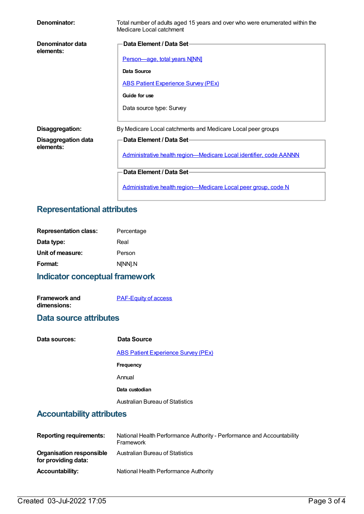| Denominator:                            | Total number of adults aged 15 years and over who were enumerated within the<br>Medicare Local catchment |
|-----------------------------------------|----------------------------------------------------------------------------------------------------------|
| Denominator data<br>elements:           | Data Element / Data Set-                                                                                 |
|                                         | Person-age, total years N[NN]                                                                            |
|                                         | Data Source                                                                                              |
|                                         | <b>ABS Patient Experience Survey (PEx)</b>                                                               |
|                                         | Guide for use                                                                                            |
|                                         | Data source type: Survey                                                                                 |
| Disaggregation:                         | By Medicare Local catchments and Medicare Local peer groups                                              |
| <b>Disaggregation data</b><br>elements: | Data Element / Data Set-                                                                                 |
|                                         | Administrative health region-Medicare Local identifier, code AANNN                                       |
|                                         | Data Element / Data Set-                                                                                 |
|                                         | Administrative health region-Medicare Local peer group, code N                                           |

### **Representational attributes**

| <b>Representation class:</b> | Percentage |
|------------------------------|------------|
| Data type:                   | Real       |
| Unit of measure:             | Person     |
| Format:                      | N[NN].N    |
|                              |            |

# **Indicator conceptual framework**

**Framework and dimensions:**

[PAF-Equity](https://meteor.aihw.gov.au/content/554927) of access

#### **Data source attributes**

| Data sources: | Data Source  |
|---------------|--------------|
|               | $ADOMDE = 1$ |

ABS Patient [Experience](https://meteor.aihw.gov.au/content/394410) Survey (PEx) **Frequency** Annual **Data custodian** Australian Bureau of Statistics

## **Accountability attributes**

| <b>Reporting requirements:</b>                         | National Health Performance Authority - Performance and Accountability<br>Framework |
|--------------------------------------------------------|-------------------------------------------------------------------------------------|
| <b>Organisation responsible</b><br>for providing data: | Australian Bureau of Statistics                                                     |
| <b>Accountability:</b>                                 | National Health Performance Authority                                               |